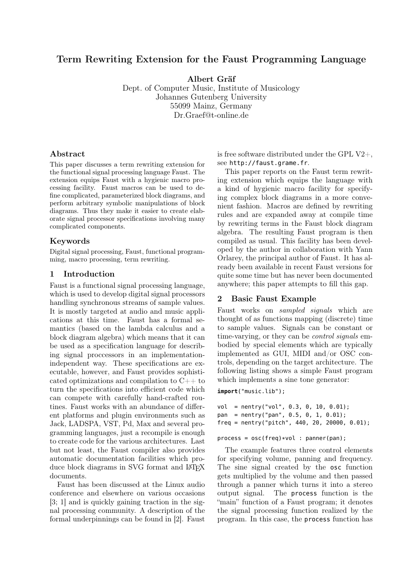# Term Rewriting Extension for the Faust Programming Language

Albert Gräf

Dept. of Computer Music, Institute of Musicology Johannes Gutenberg University 55099 Mainz, Germany Dr.Graef@t-online.de

### Abstract

This paper discusses a term rewriting extension for the functional signal processing language Faust. The extension equips Faust with a hygienic macro processing facility. Faust macros can be used to define complicated, parameterized block diagrams, and perform arbitrary symbolic manipulations of block diagrams. Thus they make it easier to create elaborate signal processor specifications involving many complicated components.

### Keywords

Digital signal processing, Faust, functional programming, macro processing, term rewriting.

### 1 Introduction

Faust is a functional signal processing language, which is used to develop digital signal processors handling synchronous streams of sample values. It is mostly targeted at audio and music applications at this time. Faust has a formal semantics (based on the lambda calculus and a block diagram algebra) which means that it can be used as a specification language for describing signal proccessors in an implementationindependent way. These specifications are executable, however, and Faust provides sophisticated optimizations and compilation to C++ to turn the specifications into efficient code which can compete with carefully hand-crafted routines. Faust works with an abundance of different platforms and plugin environments such as Jack, LADSPA, VST, Pd, Max and several programming languages, just a recompile is enough to create code for the various architectures. Last but not least, the Faust compiler also provides automatic documentation facilities which produce block diagrams in SVG format and LAT<sub>EX</sub> documents.

Faust has been discussed at the Linux audio conference and elsewhere on various occasions [3; 1] and is quickly gaining traction in the signal processing community. A description of the formal underpinnings can be found in [2]. Faust is free software distributed under the GPL V2+, see http://faust.grame.fr.

This paper reports on the Faust term rewriting extension which equips the language with a kind of hygienic macro facility for specifying complex block diagrams in a more convenient fashion. Macros are defined by rewriting rules and are expanded away at compile time by rewriting terms in the Faust block diagram algebra. The resulting Faust program is then compiled as usual. This facility has been developed by the author in collaboration with Yann Orlarey, the principal author of Faust. It has already been available in recent Faust versions for quite some time but has never been documented anywhere; this paper attempts to fill this gap.

## 2 Basic Faust Example

Faust works on sampled signals which are thought of as functions mapping (discrete) time to sample values. Signals can be constant or time-varying, or they can be *control signals* embodied by special elements which are typically implemented as GUI, MIDI and/or OSC controls, depending on the target architecture. The following listing shows a simple Faust program which implements a sine tone generator:

**import**("music.lib");

```
vol = nentry("vol", 0.3, 0, 10, 0.01);
pan = nentry("pan", 0.5, 0, 1, 0.01);
freq = nentry("pitch", 440, 20, 20000, 0.01);
```

```
process = osc(freq) * vol : panner(pan);
```
The example features three control elements for specifying volume, panning and frequency. The sine signal created by the osc function gets multiplied by the volume and then passed through a panner which turns it into a stereo output signal. The process function is the "main" function of a Faust program; it denotes the signal processing function realized by the program. In this case, the process function has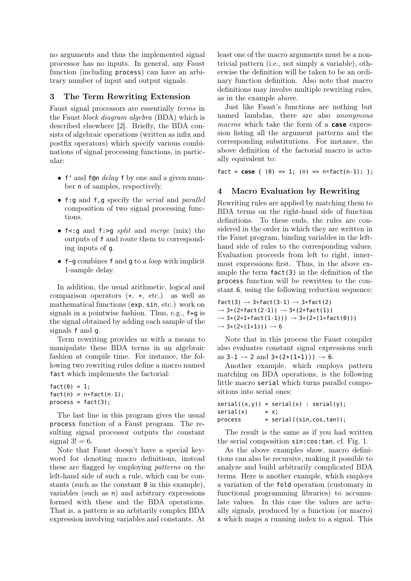no arguments and thus the implemented signal processor has no inputs. In general, any Faust function (including process) can have an arbitrary number of input and output signals.

## 3 The Term Rewriting Extension

Faust signal processors are essentially terms in the Faust block diagram algebra (BDA) which is described elsewhere [2]. Briefly, the BDA consists of algebraic operations (written as infix and postfix operators) which specify various combinations of signal processing functions, in particular:

- f' and f@n *delay* f by one and a given number n of samples, respectively.
- f:g and f,g specify the serial and parallel composition of two signal processing functions.
- f<: q and f: > q split and merge (mix) the outputs of f and route them to corresponding inputs of g.
- $f \sim g$  combines f and g to a *loop* with implicit 1-sample delay.

In addition, the usual arithmetic, logical and comparison operators (+, \*, etc.) as well as mathematical functions (exp, sin, etc.) work on signals in a pointwise fashion. Thus, e.g., f+g is the signal obtained by adding each sample of the signals f and g.

Term rewriting provides us with a means to manipulate these BDA terms in an algebraic fashion at compile time. For instance, the following two rewriting rules define a macro named fact which implements the factorial:

```
fact(0) = 1;fact(n) = n * fact(n-1);process = fact(3);
```
The last line in this program gives the usual process function of a Faust program. The resulting signal processor outputs the constant signal  $3! = 6$ .

Note that Faust doesn't have a special keyword for denoting macro definitions, instead these are flagged by employing patterns on the left-hand side of such a rule, which can be constants (such as the constant  $\theta$  in this example). variables (such as n) and arbitrary expressions formed with these and the BDA operations. That is, a pattern is an arbitarily complex BDA expression involving variables and constants. At least one of the macro arguments must be a nontrivial pattern (i.e., not simply a variable), otherwise the definition will be taken to be an ordinary function definition. Also note that macro definitions may involve multiple rewriting rules, as in the example above.

Just like Faust's functions are nothing but named lambdas, there are also anonymous macros which take the form of a **case** expression listing all the argument patterns and the corresponding substitutions. For instance, the above definition of the factorial macro is actually equivalent to:

 $\text{fact} = \text{case} \{ (\theta) \Rightarrow 1; (\text{n}) \Rightarrow \text{n*fact}(\text{n-1}); \}$ ;

## 4 Macro Evaluation by Rewriting

Rewriting rules are applied by matching them to BDA terms on the right-hand side of function definitions. To these ends, the rules are considered in the order in which they are written in the Faust program, binding variables in the lefthand side of rules to the corresponding values. Evaluation proceeds from left to right, innermost expressions first. Thus, in the above example the term fact(3) in the definition of the process function will be rewritten to the constant 6, using the following reduction sequence:

```
fact(3) \rightarrow 3*fact(3-1) \rightarrow 3*fact(2)\rightarrow 3*(2*fact(2-1)) \rightarrow 3*(2*fact(1))
\to 3*(2*1*fact(1-1))) \to 3*(2*(1*fact(0)))\rightarrow 3*(2*(1*1))) \rightarrow 6
```
Note that in this process the Faust compiler also evaluates constant signal expressions such as  $3-1 \to 2$  and  $3*(2*(1*1)) \to 6$ .

Another example, which employs pattern matching on BDA operations, is the following little macro serial which turns parallel compositions into serial ones:

```
serial((x,y)) = serial(x) : serial(y);\text{serial}(x) = x;process = serial((sin, cos, tan));
```
The result is the same as if you had written the serial composition sin:cos:tan, cf. Fig. 1.

As the above examples show, macro definitions can also be recursive, making it possible to analyze and build arbitrarily complicated BDA terms. Here is another example, which employs a variation of the fold operation (customary in functional programming libraries) to accumulate values. In this case the values are actually signals, produced by a function (or macro) x which maps a running index to a signal. This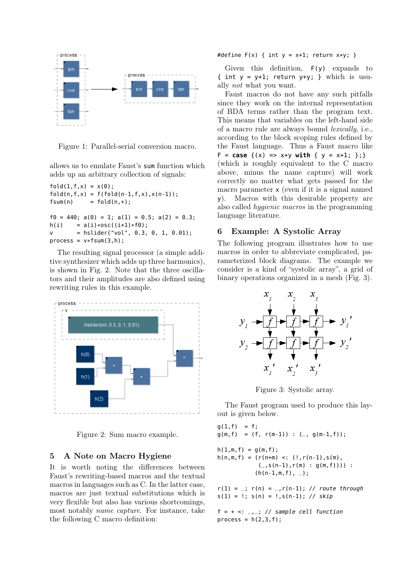

Figure 1: Parallel-serial conversion macro.

allows us to emulate Faust's sum function which adds up an arbitrary collection of signals:

```
fold(1, f, x) = x(0);fold(n, f, x) = f(fold(n-1, f, x), x(n-1));fsum(n) = fold(n, +);
f0 = 440; a(0) = 1; a(1) = 0.5; a(2) = 0.3;
h(i) = a(i)*osc((i+1)*f0);v = \text{hslider}("vol", 0.3, 0, 1, 0.01);process = v*fsum(3,h):
```
The resulting signal processor (a simple additive synthesizer which adds up three harmonics), is shown in Fig. 2. Note that the three oscillators and their amplitudes are also defined using rewriting rules in this example.



Figure 2: Sum macro example.

## 5 A Note on Macro Hygiene

It is worth noting the differences between Faust's rewriting-based macros and the textual macros in languages such as C. In the latter case, macros are just textual substitutions which is very flexible but also has various shortcomings, most notably name capture. For instance, take the following C macro definition:

#define  $F(x)$  { int  $y = x+1$ ; return  $x+y$ ; }

Given this definition, F(y) expands to { int  $y = y+1$ ; return  $y+y$ ; } which is usually not what you want.

Faust macros do not have any such pitfalls since they work on the internal representation of BDA terms rather than the program text. This means that variables on the left-hand side of a macro rule are always bound lexically, i.e., according to the block scoping rules defined by the Faust language. Thus a Faust macro like  $F = \text{case} \{(x) \implies x+y \text{ with } \{y = x+1; \} \}$ (which is roughly equivalent to the C macro above, minus the name capture) will work correctly no matter what gets passed for the macro parameter x (even if it is a signal named y). Macros with this desirable property are also called hygienic macros in the programming language literature.

## 6 Example: A Systolic Array

The following program illustrates how to use macros in order to abbreviate complicated, parameterized block diagrams. The example we consider is a kind of "systolic array", a grid of binary operations organized in a mesh (Fig. 3).



Figure 3: Systolic array.

The Faust program used to produce this layout is given below.

```
q(1,f) = f;g(m, f) = (f, r(m-1)) : (-, g(m-1, f));h(1,m,f) = g(m,f);h(n,m,f) = (r(n+m) <: (!, r(n-1), s(m))(-,s(n-1),r(m) : g(m,f))) :
           (h(n-1,m,f), -);
```

```
r(1) =; r(n) =, r(n-1); // route through
s(1) = !; s(n) = !, s(n-1); // skip
```
 $f = + \leq:$   $\frac{1}{2}$  // sample cell function process =  $h(2,3,f)$ ;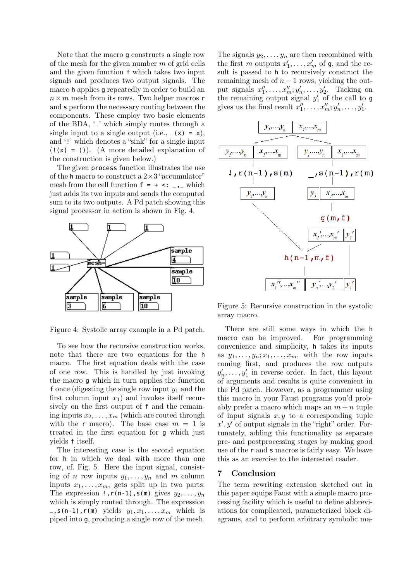Note that the macro g constructs a single row of the mesh for the given number  $m$  of grid cells and the given function f which takes two input signals and produces two output signals. The macro h applies g repeatedly in order to build an  $n \times m$  mesh from its rows. Two helper macros r and s perform the necessary routing between the components. These employ two basic elements of the BDA, '\_' which simply routes through a single input to a single output (i.e.,  $(x) = x$ ), and '!' which denotes a "sink" for a single input  $(1(x) = 1)$ . (A more detailed explanation of the construction is given below.)

The given process function illustrates the use of the h macro to construct a  $2\times3$  "accumulator" mesh from the cell function  $f = + \leq i \leq j$  which just adds its two inputs and sends the computed sum to its two outputs. A Pd patch showing this signal processor in action is shown in Fig. 4.



Figure 4: Systolic array example in a Pd patch.

To see how the recursive construction works, note that there are two equations for the h macro. The first equation deals with the case of one row. This is handled by just invoking the macro g which in turn applies the function f once (digesting the single row input  $y_1$  and the first column input  $x_1$ ) and invokes itself recursively on the first output of f and the remaining inputs  $x_2, \ldots, x_m$  (which are routed through with the r macro). The base case  $m = 1$  is treated in the first equation for g which just yields f itself.

The interesting case is the second equation for h in which we deal with more than one row, cf. Fig. 5. Here the input signal, consisting of n row inputs  $y_1, \ldots, y_n$  and m column inputs  $x_1, \ldots, x_m$ , gets split up in two parts. The expression  $!, r(n-1), s(m)$  gives  $y_2, \ldots, y_n$ which is simply routed through. The expression  $\Box$ , s(n-1), r(m) yields  $y_1, x_1, \ldots, x_m$  which is piped into g, producing a single row of the mesh.

The signals  $y_2, \ldots, y_n$  are then recombined with the first m outputs  $x'_1, \ldots, x'_m$  of **g**, and the result is passed to h to recursively construct the remaining mesh of  $n-1$  rows, yielding the output signals  $x_1'', \ldots, x_m''; y_n', \ldots, y_2'$ . Tacking on the remaining output signal  $y'_1$  of the call to g gives us the final result  $x_1'', \ldots, x_m''; y_n', \ldots, y_1'$ .



Figure 5: Recursive construction in the systolic array macro.

There are still some ways in which the h macro can be improved. For programming convenience and simplicity, h takes its inputs as  $y_1, \ldots, y_n; x_1, \ldots, x_m$ , with the row inputs coming first, and produces the row outputs  $y'_n, \ldots, y'_1$  in reverse order. In fact, this layout of arguments and results is quite convenient in the Pd patch. However, as a programmer using this macro in your Faust programs you'd probably prefer a macro which maps an  $m + n$  tuple of input signals  $x, y$  to a corresponding tuple  $x', y'$  of output signals in the "right" order. Fortunately, adding this functionality as separate pre- and postprocessing stages by making good use of the r and s macros is fairly easy. We leave this as an exercise to the interested reader.

### 7 Conclusion

The term rewriting extension sketched out in this paper equips Faust with a simple macro processing facility which is useful to define abbreviations for complicated, parameterized block diagrams, and to perform arbitrary symbolic ma